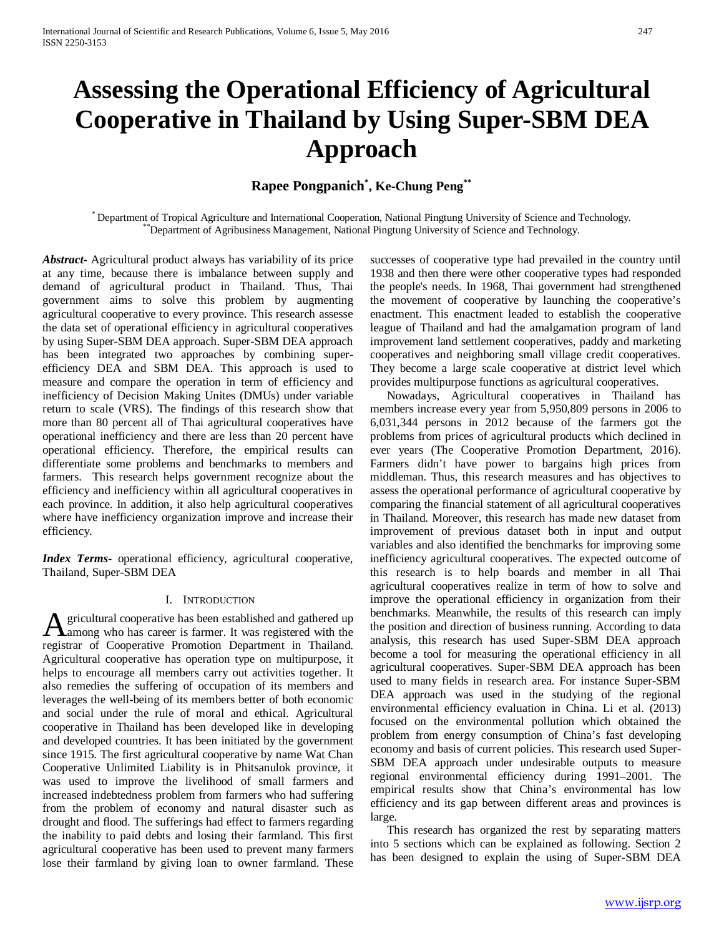# **Assessing the Operational Efficiency of Agricultural Cooperative in Thailand by Using Super-SBM DEA Approach**

## **Rapee Pongpanich\* , Ke-Chung Peng\*\***

\* Department of Tropical Agriculture and International Cooperation, National Pingtung University of Science and Technology. \*\*Department of Agribusiness Management, National Pingtung University of Science and Technology.

*Abstract***-** Agricultural product always has variability of its price at any time, because there is imbalance between supply and demand of agricultural product in Thailand. Thus, Thai government aims to solve this problem by augmenting agricultural cooperative to every province. This research assesse the data set of operational efficiency in agricultural cooperatives by using Super-SBM DEA approach. Super-SBM DEA approach has been integrated two approaches by combining superefficiency DEA and SBM DEA. This approach is used to measure and compare the operation in term of efficiency and inefficiency of Decision Making Unites (DMUs) under variable return to scale (VRS). The findings of this research show that more than 80 percent all of Thai agricultural cooperatives have operational inefficiency and there are less than 20 percent have operational efficiency. Therefore, the empirical results can differentiate some problems and benchmarks to members and farmers. This research helps government recognize about the efficiency and inefficiency within all agricultural cooperatives in each province. In addition, it also help agricultural cooperatives where have inefficiency organization improve and increase their efficiency.

*Index Terms*- operational efficiency, agricultural cooperative, Thailand, Super-SBM DEA

## I. INTRODUCTION

gricultural cooperative has been established and gathered up A gricultural cooperative has been established and gathered up<br>among who has career is farmer. It was registered with the registrar of Cooperative Promotion Department in Thailand. Agricultural cooperative has operation type on multipurpose, it helps to encourage all members carry out activities together. It also remedies the suffering of occupation of its members and leverages the well-being of its members better of both economic and social under the rule of moral and ethical. Agricultural cooperative in Thailand has been developed like in developing and developed countries. It has been initiated by the government since 1915. The first agricultural cooperative by name Wat Chan Cooperative Unlimited Liability is in Phitsanulok province, it was used to improve the livelihood of small farmers and increased indebtedness problem from farmers who had suffering from the problem of economy and natural disaster such as drought and flood. The sufferings had effect to farmers regarding the inability to paid debts and losing their farmland. This first agricultural cooperative has been used to prevent many farmers lose their farmland by giving loan to owner farmland. These

successes of cooperative type had prevailed in the country until 1938 and then there were other cooperative types had responded the people's needs. In 1968, Thai government had strengthened the movement of cooperative by launching the cooperative's enactment. This enactment leaded to establish the cooperative league of Thailand and had the amalgamation program of land improvement land settlement cooperatives, paddy and marketing cooperatives and neighboring small village credit cooperatives. They become a large scale cooperative at district level which provides multipurpose functions as agricultural cooperatives.

Nowadays, Agricultural cooperatives in Thailand has members increase every year from 5,950,809 persons in 2006 to 6,031,344 persons in 2012 because of the farmers got the problems from prices of agricultural products which declined in ever years (The Cooperative Promotion Department, 2016). Farmers didn't have power to bargains high prices from middleman. Thus, this research measures and has objectives to assess the operational performance of agricultural cooperative by comparing the financial statement of all agricultural cooperatives in Thailand. Moreover, this research has made new dataset from improvement of previous dataset both in input and output variables and also identified the benchmarks for improving some inefficiency agricultural cooperatives. The expected outcome of this research is to help boards and member in all Thai agricultural cooperatives realize in term of how to solve and improve the operational efficiency in organization from their benchmarks. Meanwhile, the results of this research can imply the position and direction of business running. According to data analysis, this research has used Super-SBM DEA approach become a tool for measuring the operational efficiency in all agricultural cooperatives. Super-SBM DEA approach has been used to many fields in research area. For instance Super-SBM DEA approach was used in the studying of the regional environmental efficiency evaluation in China. Li et al. (2013) focused on the environmental pollution which obtained the problem from energy consumption of China's fast developing economy and basis of current policies. This research used Super-SBM DEA approach under undesirable outputs to measure regional environmental efficiency during 1991–2001. The empirical results show that China's environmental has low efficiency and its gap between different areas and provinces is large.

This research has organized the rest by separating matters into 5 sections which can be explained as following. Section 2 has been designed to explain the using of Super-SBM DEA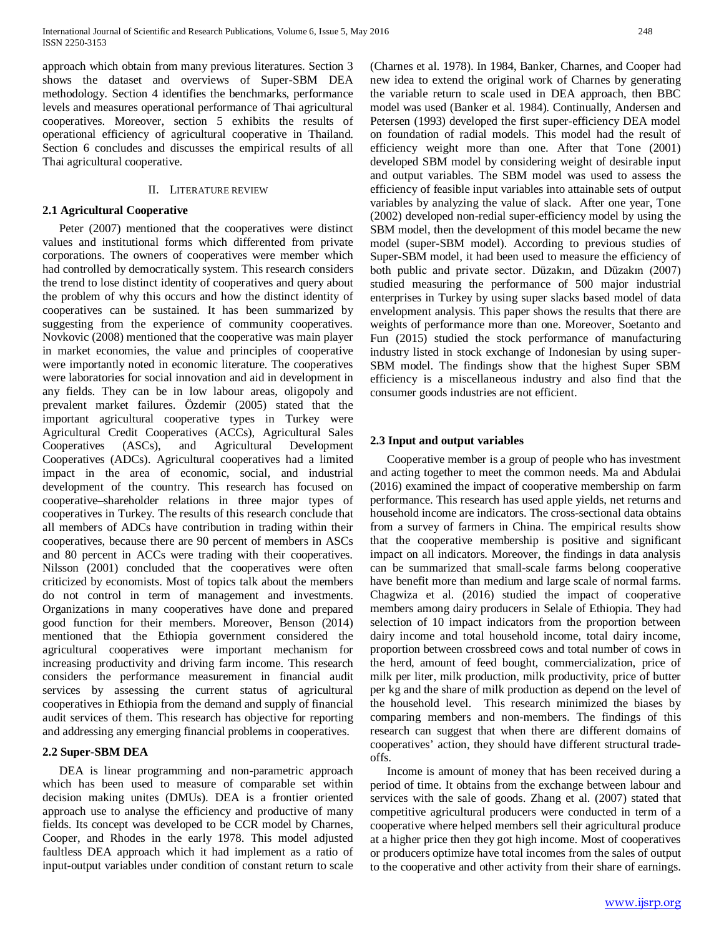approach which obtain from many previous literatures. Section 3 shows the dataset and overviews of Super-SBM DEA methodology. Section 4 identifies the benchmarks, performance levels and measures operational performance of Thai agricultural cooperatives. Moreover, section 5 exhibits the results of operational efficiency of agricultural cooperative in Thailand. Section 6 concludes and discusses the empirical results of all Thai agricultural cooperative.

## II. LITERATURE REVIEW

## **2.1 Agricultural Cooperative**

Peter (2007) mentioned that the cooperatives were distinct values and institutional forms which differented from private corporations. The owners of cooperatives were member which had controlled by democratically system. This research considers the trend to lose distinct identity of cooperatives and query about the problem of why this occurs and how the distinct identity of cooperatives can be sustained. It has been summarized by suggesting from the experience of community cooperatives. Novkovic (2008) mentioned that the cooperative was main player in market economies, the value and principles of cooperative were importantly noted in economic literature. The cooperatives were laboratories for social innovation and aid in development in any fields. They can be in low labour areas, oligopoly and prevalent market failures. Özdemir (2005) stated that the important agricultural cooperative types in Turkey were Agricultural Credit Cooperatives (ACCs), Agricultural Sales Cooperatives (ASCs), and Agricultural Development Cooperatives (ADCs). Agricultural cooperatives had a limited impact in the area of economic, social, and industrial development of the country. This research has focused on cooperative–shareholder relations in three major types of cooperatives in Turkey. The results of this research conclude that all members of ADCs have contribution in trading within their cooperatives, because there are 90 percent of members in ASCs and 80 percent in ACCs were trading with their cooperatives. Nilsson (2001) concluded that the cooperatives were often criticized by economists. Most of topics talk about the members do not control in term of management and investments. Organizations in many cooperatives have done and prepared good function for their members. Moreover, Benson (2014) mentioned that the Ethiopia government considered the agricultural cooperatives were important mechanism for increasing productivity and driving farm income. This research considers the performance measurement in financial audit services by assessing the current status of agricultural cooperatives in Ethiopia from the demand and supply of financial audit services of them. This research has objective for reporting and addressing any emerging financial problems in cooperatives.

## **2.2 Super-SBM DEA**

DEA is linear programming and non-parametric approach which has been used to measure of comparable set within decision making unites (DMUs). DEA is a frontier oriented approach use to analyse the efficiency and productive of many fields. Its concept was developed to be CCR model by Charnes, Cooper, and Rhodes in the early 1978. This model adjusted faultless DEA approach which it had implement as a ratio of input-output variables under condition of constant return to scale (Charnes et al. 1978). In 1984, Banker, Charnes, and Cooper had new idea to extend the original work of Charnes by generating the variable return to scale used in DEA approach, then BBC model was used (Banker et al. 1984). Continually, Andersen and Petersen (1993) developed the first super-efficiency DEA model on foundation of radial models. This model had the result of efficiency weight more than one. After that Tone (2001) developed SBM model by considering weight of desirable input and output variables. The SBM model was used to assess the efficiency of feasible input variables into attainable sets of output variables by analyzing the value of slack. After one year, Tone (2002) developed non-redial super-efficiency model by using the SBM model, then the development of this model became the new model (super-SBM model). According to previous studies of Super-SBM model, it had been used to measure the efficiency of both public and private sector. Düzakın, and Düzakın (2007) studied measuring the performance of 500 major industrial enterprises in Turkey by using super slacks based model of data envelopment analysis. This paper shows the results that there are weights of performance more than one. Moreover, Soetanto and Fun (2015) studied the stock performance of manufacturing industry listed in stock exchange of Indonesian by using super-SBM model. The findings show that the highest Super SBM efficiency is a miscellaneous industry and also find that the consumer goods industries are not efficient.

## **2.3 Input and output variables**

Cooperative member is a group of people who has investment and acting together to meet the common needs. Ma and Abdulai (2016) examined the impact of cooperative membership on farm performance. This research has used apple yields, net returns and household income are indicators. The cross-sectional data obtains from a survey of farmers in China. The empirical results show that the cooperative membership is positive and significant impact on all indicators. Moreover, the findings in data analysis can be summarized that small-scale farms belong cooperative have benefit more than medium and large scale of normal farms. Chagwiza et al. (2016) studied the impact of cooperative members among dairy producers in Selale of Ethiopia. They had selection of 10 impact indicators from the proportion between dairy income and total household income, total dairy income, proportion between crossbreed cows and total number of cows in the herd, amount of feed bought, commercialization, price of milk per liter, milk production, milk productivity, price of butter per kg and the share of milk production as depend on the level of the household level. This research minimized the biases by comparing members and non-members. The findings of this research can suggest that when there are different domains of cooperatives' action, they should have different structural tradeoffs.

Income is amount of money that has been received during a period of time. It obtains from the exchange between labour and services with the sale of goods. Zhang et al. (2007) stated that competitive agricultural producers were conducted in term of a cooperative where helped members sell their agricultural produce at a higher price then they got high income. Most of cooperatives or producers optimize have total incomes from the sales of output to the cooperative and other activity from their share of earnings.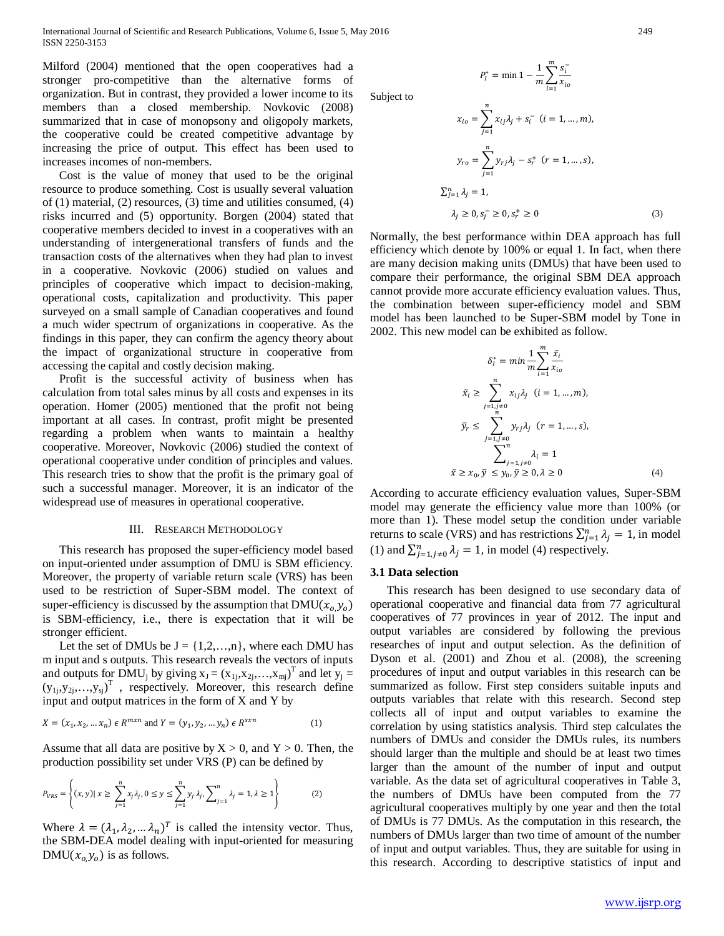Milford (2004) mentioned that the open cooperatives had a stronger pro-competitive than the alternative forms of organization. But in contrast, they provided a lower income to its members than a closed membership. Novkovic (2008) summarized that in case of monopsony and oligopoly markets, the cooperative could be created competitive advantage by increasing the price of output. This effect has been used to increases incomes of non-members.

Cost is the value of money that used to be the original resource to produce something. Cost is usually several valuation of (1) material, (2) resources, (3) time and utilities consumed, (4) risks incurred and (5) opportunity. Borgen (2004) stated that cooperative members decided to invest in a cooperatives with an understanding of intergenerational transfers of funds and the transaction costs of the alternatives when they had plan to invest in a cooperative. Novkovic (2006) studied on values and principles of cooperative which impact to decision-making, operational costs, capitalization and productivity. This paper surveyed on a small sample of Canadian cooperatives and found a much wider spectrum of organizations in cooperative. As the findings in this paper, they can confirm the agency theory about the impact of organizational structure in cooperative from accessing the capital and costly decision making.

Profit is the successful activity of business when has calculation from total sales minus by all costs and expenses in its operation. Homer (2005) mentioned that the profit not being important at all cases. In contrast, profit might be presented regarding a problem when wants to maintain a healthy cooperative. Moreover, Novkovic (2006) studied the context of operational cooperative under condition of principles and values. This research tries to show that the profit is the primary goal of such a successful manager. Moreover, it is an indicator of the widespread use of measures in operational cooperative.

#### III. RESEARCH METHODOLOGY

This research has proposed the super-efficiency model based on input-oriented under assumption of DMU is SBM efficiency. Moreover, the property of variable return scale (VRS) has been used to be restriction of Super-SBM model. The context of super-efficiency is discussed by the assumption that  $\text{DMU}(x_0, y_0)$ is SBM-efficiency, i.e., there is expectation that it will be stronger efficient.

Let the set of DMUs be  $J = \{1, 2, ..., n\}$ , where each DMU has m input and s outputs. This research reveals the vectors of inputs and outputs for DMU<sub>j</sub> by giving  $x_J = (x_{1j}, x_{2j},...,x_{mj})^T$  and let  $y_j =$  $(y_{1j}, y_{2j},...,y_{sj})^T$ , respectively. Moreover, this research define input and output matrices in the form of X and Y by

$$
X = (x_1, x_2, ... x_n) \in R^{mxn} \text{ and } Y = (y_1, y_2, ... y_n) \in R^{sxn}
$$
 (1)

Assume that all data are positive by  $X > 0$ , and  $Y > 0$ . Then, the production possibility set under VRS (P) can be defined by

$$
P_{VRS} = \left\{ (x, y) | x \ge \sum_{j=1}^{n} x_j \lambda_j, 0 \le y \le \sum_{j=1}^{n} y_j \lambda_j, \sum_{j=1}^{n} \lambda_j = 1, \lambda \ge 1 \right\}
$$
 (2)

Where  $\lambda = (\lambda_1, \lambda_2, \dots, \lambda_n)^T$  is called the intensity vector. Thus, the SBM-DEA model dealing with input-oriented for measuring  $DMU(x_{o,}y_{o})$  is as follows.

Subject to

$$
x_{io} = \sum_{j=1}^{n} x_{ij} \lambda_j + s_i^{-} \quad (i = 1, ..., m),
$$

$$
y_{ro} = \sum_{j=1}^{n} y_{rj} \lambda_j - s_r^{+} \quad (r = 1, ..., s),
$$

$$
\sum_{j=1}^{n} \lambda_j = 1,
$$

$$
\lambda_j \ge 0, s_j^{-} \ge 0, s_r^{+} \ge 0
$$
(3)

 $x_{io}$ 

 $\mathfrak{m}$ 

 $i=1$ 

Normally, the best performance within DEA approach has full efficiency which denote by 100% or equal 1. In fact, when there are many decision making units (DMUs) that have been used to compare their performance, the original SBM DEA approach cannot provide more accurate efficiency evaluation values. Thus, the combination between super-efficiency model and SBM model has been launched to be Super-SBM model by Tone in 2002. This new model can be exhibited as follow.

 $P_l^* = \min 1 - \frac{1}{m} \sum_{i=1}^{m} \frac{s_i^-}{x_{io}}$ 

$$
\delta_i^* = \min \frac{1}{m} \sum_{i=1}^m \frac{\bar{x}_i}{x_{io}}
$$
  

$$
\bar{x}_i \ge \sum_{j=1, j\neq 0}^n x_{ij} \lambda_j \quad (i = 1, \dots, m),
$$
  

$$
\bar{y}_r \le \sum_{j=1, j\neq 0}^n y_{rj} \lambda_j \quad (r = 1, \dots, s),
$$
  

$$
\sum_{j=1, j\neq 0}^n \lambda_i = 1
$$
  

$$
\bar{x} \ge x_0, \bar{y} \le y_0, \bar{y} \ge 0, \lambda \ge 0
$$
 (4)

According to accurate efficiency evaluation values, Super-SBM model may generate the efficiency value more than 100% (or more than 1). These model setup the condition under variable returns to scale (VRS) and has restrictions  $\sum_{j=1}^{n} \lambda_j = 1$ , in model (1) and  $\sum_{j=1,j\neq 0}^{n} \lambda_j = 1$ , in model (4) respectively.

## **3.1 Data selection**

This research has been designed to use secondary data of operational cooperative and financial data from 77 agricultural cooperatives of 77 provinces in year of 2012. The input and output variables are considered by following the previous researches of input and output selection. As the definition of Dyson et al. (2001) and Zhou et al. (2008), the screening procedures of input and output variables in this research can be summarized as follow. First step considers suitable inputs and outputs variables that relate with this research. Second step collects all of input and output variables to examine the correlation by using statistics analysis. Third step calculates the numbers of DMUs and consider the DMUs rules, its numbers should larger than the multiple and should be at least two times larger than the amount of the number of input and output variable. As the data set of agricultural cooperatives in Table 3, the numbers of DMUs have been computed from the 77 agricultural cooperatives multiply by one year and then the total of DMUs is 77 DMUs. As the computation in this research, the numbers of DMUs larger than two time of amount of the number of input and output variables. Thus, they are suitable for using in this research. According to descriptive statistics of input and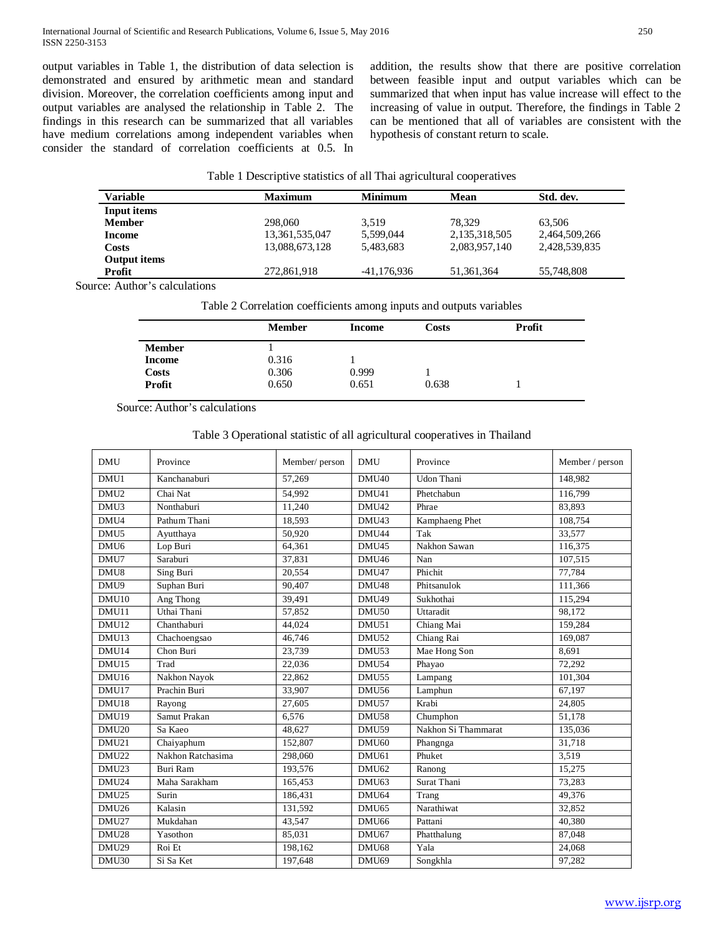output variables in Table 1, the distribution of data selection is demonstrated and ensured by arithmetic mean and standard division. Moreover, the correlation coefficients among input and output variables are analysed the relationship in Table 2. The findings in this research can be summarized that all variables have medium correlations among independent variables when consider the standard of correlation coefficients at 0.5. In addition, the results show that there are positive correlation between feasible input and output variables which can be summarized that when input has value increase will effect to the increasing of value in output. Therefore, the findings in Table 2 can be mentioned that all of variables are consistent with the hypothesis of constant return to scale.

| Table 1 Descriptive statistics of all Thai agricultural cooperatives |  |
|----------------------------------------------------------------------|--|
|----------------------------------------------------------------------|--|

| <b>Variable</b> | <b>Maximum</b> | <b>Minimum</b> | <b>Mean</b>   | Std. dev.     |
|-----------------|----------------|----------------|---------------|---------------|
| Input items     |                |                |               |               |
| <b>Member</b>   | 298,060        | 3.519          | 78.329        | 63.506        |
| Income          | 13,361,535,047 | 5.599.044      | 2,135,318,505 | 2,464,509,266 |
| Costs           | 13,088,673,128 | 5.483.683      | 2,083,957,140 | 2,428,539,835 |
| Output items    |                |                |               |               |
| Profit          | 272,861,918    | -41,176,936    | 51,361,364    | 55,748,808    |
| .<br>.          |                |                |               |               |

Source: Author's calculations

Table 2 Correlation coefficients among inputs and outputs variables

|               | <b>Member</b> | Income | Costs | Profit |
|---------------|---------------|--------|-------|--------|
| <b>Member</b> |               |        |       |        |
| Income        | 0.316         |        |       |        |
| Costs         | 0.306         | 0.999  |       |        |
| Profit        | 0.650         | 0.651  | 0.638 |        |

Source: Author's calculations

## Table 3 Operational statistic of all agricultural cooperatives in Thailand

| <b>DMU</b>        | Province          | Member/person | <b>DMU</b>        | Province            | Member / person |
|-------------------|-------------------|---------------|-------------------|---------------------|-----------------|
| DMU1              | Kanchanaburi      | 57,269        | DMU <sub>40</sub> | Udon Thani          | 148,982         |
| DMU <sub>2</sub>  | Chai Nat          | 54.992        | DMU41             | Phetchabun          | 116.799         |
| DMU <sub>3</sub>  | Nonthaburi        | 11,240        | DMU42             | Phrae               | 83,893          |
| DMU4              | Pathum Thani      | 18,593        | DMU43             | Kamphaeng Phet      | 108,754         |
| DMU <sub>5</sub>  | Ayutthaya         | 50.920        | DMU44             | Tak                 | 33,577          |
| DMU <sub>6</sub>  | Lop Buri          | 64,361        | DMU45             | Nakhon Sawan        | 116,375         |
| DMU7              | Saraburi          | 37,831        | DMU46             | Nan                 | 107,515         |
| DMU8              | Sing Buri         | 20,554        | DMU47             | Phichit             | 77,784          |
| DMU9              | Suphan Buri       | 90.407        | DMU48             | Phitsanulok         | 111,366         |
| DMU <sub>10</sub> | Ang Thong         | 39,491        | DMU49             | Sukhothai           | 115,294         |
| DMU11             | Uthai Thani       | 57,852        | DMU50             | Uttaradit           | 98,172          |
| DMU12             | Chanthaburi       | 44.024        | DMU51             | Chiang Mai          | 159,284         |
| DMU13             | Chachoengsao      | 46,746        | DMU52             | Chiang Rai          | 169,087         |
| DMU14             | Chon Buri         | 23,739        | DMU53             | Mae Hong Son        | 8.691           |
| DMU <sub>15</sub> | Trad              | 22,036        | DMU54             | Phayao              | 72,292          |
| DMU16             | Nakhon Nayok      | 22,862        | DMU55             | Lampang             | 101.304         |
| DMU17             | Prachin Buri      | 33,907        | DMU56             | Lamphun             | 67,197          |
| DMU18             | Rayong            | 27.605        | DMU57             | Krabi               | 24.805          |
| DMU19             | Samut Prakan      | 6.576         | DMU58             | Chumphon            | 51,178          |
| DMU <sub>20</sub> | Sa Kaeo           | 48,627        | DMU59             | Nakhon Si Thammarat | 135,036         |
| DMU21             | Chaiyaphum        | 152,807       | DMU <sub>60</sub> | Phangnga            | 31.718          |
| DMU22             | Nakhon Ratchasima | 298,060       | DMU61             | Phuket              | 3,519           |
| DMU <sub>23</sub> | Buri Ram          | 193,576       | DMU <sub>62</sub> | Ranong              | 15,275          |
| DMU24             | Maha Sarakham     | 165,453       | DMU <sub>63</sub> | <b>Surat Thani</b>  | 73,283          |
| DMU <sub>25</sub> | Surin             | 186.431       | DMU64             | Trang               | 49.376          |
| DMU <sub>26</sub> | Kalasin           | 131,592       | DMU <sub>65</sub> | Narathiwat          | 32,852          |
| DMU27             | Mukdahan          | 43,547        | DMU <sub>66</sub> | Pattani             | 40,380          |
| DMU28             | Yasothon          | 85,031        | DMU <sub>67</sub> | Phatthalung         | 87,048          |
| DMU29             | Roi Et            | 198,162       | DMU68             | Yala                | 24,068          |
| DMU30             | Si Sa Ket         | 197,648       | DMU69             | Songkhla            | 97,282          |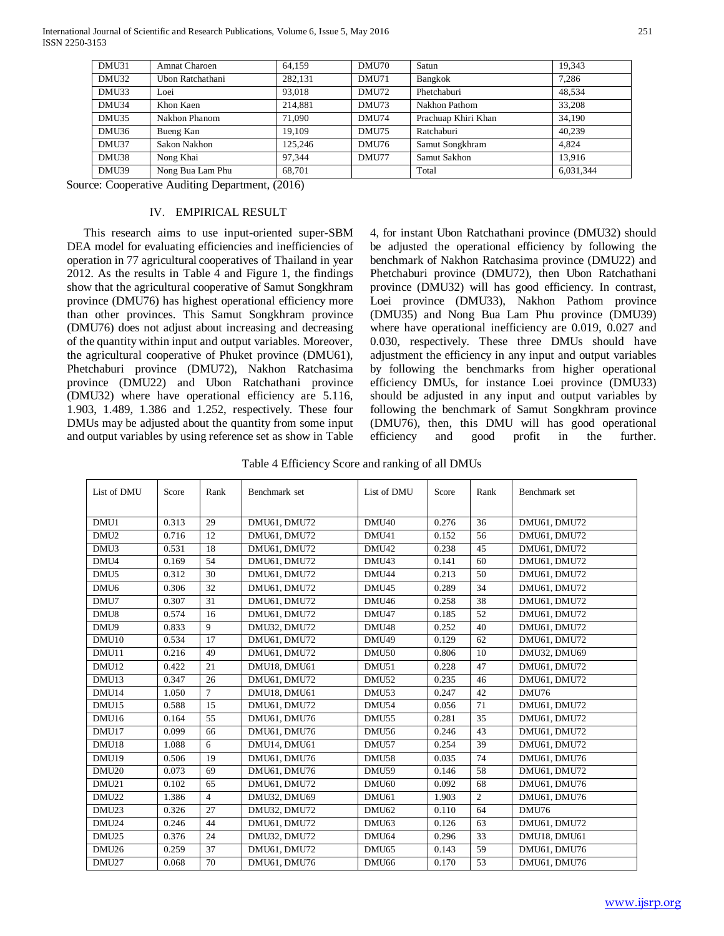| DMU31 | <b>Amnat Charoen</b> | 64.159  | DMU70 | Satun               | 19.343    |
|-------|----------------------|---------|-------|---------------------|-----------|
| DMU32 | Ubon Ratchathani     | 282,131 | DMU71 | Bangkok             | 7,286     |
| DMU33 | Loei                 | 93,018  | DMU72 | Phetchaburi         | 48.534    |
| DMU34 | Khon Kaen            | 214,881 | DMU73 | Nakhon Pathom       | 33.208    |
| DMU35 | Nakhon Phanom        | 71,090  | DMU74 | Prachuap Khiri Khan | 34.190    |
| DMU36 | Bueng Kan            | 19.109  | DMU75 | Ratchaburi          | 40.239    |
| DMU37 | Sakon Nakhon         | 125.246 | DMU76 | Samut Songkhram     | 4.824     |
| DMU38 | Nong Khai            | 97.344  | DMU77 | Samut Sakhon        | 13.916    |
| DMU39 | Nong Bua Lam Phu     | 68.701  |       | Total               | 6,031,344 |

Source: Cooperative Auditing Department, (2016)

## IV. EMPIRICAL RESULT

This research aims to use input-oriented super-SBM DEA model for evaluating efficiencies and inefficiencies of operation in 77 agricultural cooperatives of Thailand in year 2012. As the results in Table 4 and Figure 1, the findings show that the agricultural cooperative of Samut Songkhram province (DMU76) has highest operational efficiency more than other provinces. This Samut Songkhram province (DMU76) does not adjust about increasing and decreasing of the quantity within input and output variables. Moreover, the agricultural cooperative of Phuket province (DMU61), Phetchaburi province (DMU72), Nakhon Ratchasima province (DMU22) and Ubon Ratchathani province (DMU32) where have operational efficiency are 5.116, 1.903, 1.489, 1.386 and 1.252, respectively. These four DMUs may be adjusted about the quantity from some input and output variables by using reference set as show in Table

4, for instant Ubon Ratchathani province (DMU32) should be adjusted the operational efficiency by following the benchmark of Nakhon Ratchasima province (DMU22) and Phetchaburi province (DMU72), then Ubon Ratchathani province (DMU32) will has good efficiency. In contrast, Loei province (DMU33), Nakhon Pathom province (DMU35) and Nong Bua Lam Phu province (DMU39) where have operational inefficiency are 0.019, 0.027 and 0.030, respectively. These three DMUs should have adjustment the efficiency in any input and output variables by following the benchmarks from higher operational efficiency DMUs, for instance Loei province (DMU33) should be adjusted in any input and output variables by following the benchmark of Samut Songkhram province (DMU76), then, this DMU will has good operational efficiency and good profit in the further.

Table 4 Efficiency Score and ranking of all DMUs

| List of DMU       | Score | Rank            | Benchmark set       | List of DMU       | Score | Rank           | Benchmark set |
|-------------------|-------|-----------------|---------------------|-------------------|-------|----------------|---------------|
|                   |       |                 |                     |                   |       |                |               |
| DMU1              | 0.313 | 29              | DMU61, DMU72        | DMU <sub>40</sub> | 0.276 | 36             | DMU61, DMU72  |
| DMU <sub>2</sub>  | 0.716 | 12              | DMU61, DMU72        | DMU41             | 0.152 | 56             | DMU61, DMU72  |
| DMU3              | 0.531 | 18              | DMU61, DMU72        | DMU <sub>42</sub> | 0.238 | 45             | DMU61, DMU72  |
| DMU4              | 0.169 | 54              | DMU61, DMU72        | DMU <sub>43</sub> | 0.141 | 60             | DMU61, DMU72  |
| DMU <sub>5</sub>  | 0.312 | 30              | DMU61, DMU72        | DMU44             | 0.213 | 50             | DMU61, DMU72  |
| DMU <sub>6</sub>  | 0.306 | 32              | DMU61, DMU72        | DMU <sub>45</sub> | 0.289 | 34             | DMU61, DMU72  |
| DMU7              | 0.307 | 31              | DMU61, DMU72        | DMU <sub>46</sub> | 0.258 | 38             | DMU61, DMU72  |
| DMU8              | 0.574 | 16              | DMU61, DMU72        | DMU47             | 0.185 | 52             | DMU61, DMU72  |
| DMU9              | 0.833 | 9               | DMU32, DMU72        | DMU <sub>48</sub> | 0.252 | 40             | DMU61, DMU72  |
| DMU <sub>10</sub> | 0.534 | 17              | DMU61, DMU72        | DMU49             | 0.129 | 62             | DMU61, DMU72  |
| DMU11             | 0.216 | 49              | DMU61, DMU72        | DMU <sub>50</sub> | 0.806 | 10             | DMU32, DMU69  |
| DMU12             | 0.422 | 21              | <b>DMU18, DMU61</b> | DMU51             | 0.228 | 47             | DMU61, DMU72  |
| DMU <sub>13</sub> | 0.347 | 26              | DMU61, DMU72        | DMU52             | 0.235 | 46             | DMU61, DMU72  |
| DMU14             | 1.050 | $\overline{7}$  | DMU18, DMU61        | DMU <sub>53</sub> | 0.247 | 42             | DMU76         |
| DMU <sub>15</sub> | 0.588 | 15              | DMU61, DMU72        | DMU54             | 0.056 | 71             | DMU61, DMU72  |
| DMU16             | 0.164 | 55              | DMU61, DMU76        | DMU55             | 0.281 | 35             | DMU61, DMU72  |
| DMU17             | 0.099 | 66              | DMU61, DMU76        | DMU56             | 0.246 | 43             | DMU61, DMU72  |
| DMU18             | 1.088 | 6               | DMU14, DMU61        | DMU57             | 0.254 | 39             | DMU61, DMU72  |
| DMU19             | 0.506 | 19              | DMU61, DMU76        | DMU58             | 0.035 | 74             | DMU61, DMU76  |
| DMU <sub>20</sub> | 0.073 | 69              | DMU61, DMU76        | DMU59             | 0.146 | 58             | DMU61, DMU72  |
| DMU21             | 0.102 | 65              | DMU61, DMU72        | DMU <sub>60</sub> | 0.092 | 68             | DMU61, DMU76  |
| DMU22             | 1.386 | $\overline{4}$  | <b>DMU32, DMU69</b> | DMU <sub>61</sub> | 1.903 | $\overline{2}$ | DMU61, DMU76  |
| DMU <sub>23</sub> | 0.326 | 27              | DMU32, DMU72        | DMU <sub>62</sub> | 0.110 | 64             | DMU76         |
| DMU24             | 0.246 | 44              | DMU61, DMU72        | DMU <sub>63</sub> | 0.126 | 63             | DMU61, DMU72  |
| DMU <sub>25</sub> | 0.376 | 24              | DMU32, DMU72        | DMU <sub>64</sub> | 0.296 | 33             | DMU18, DMU61  |
| DMU26             | 0.259 | $\overline{37}$ | DMU61, DMU72        | DMU <sub>65</sub> | 0.143 | 59             | DMU61, DMU76  |
| DMU27             | 0.068 | 70              | DMU61, DMU76        | DMU <sub>66</sub> | 0.170 | 53             | DMU61, DMU76  |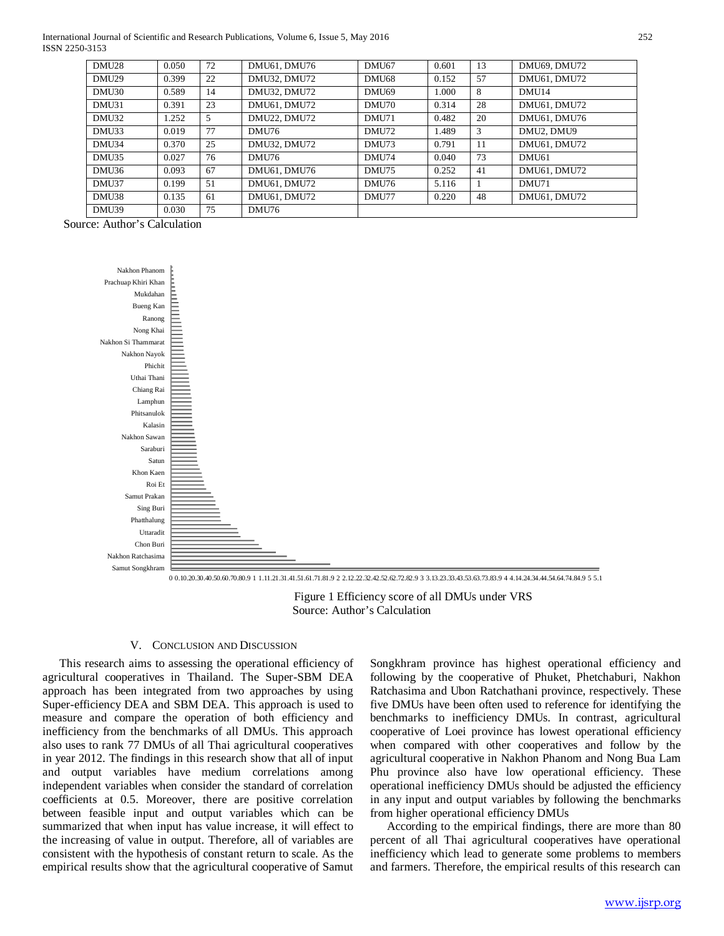International Journal of Scientific and Research Publications, Volume 6, Issue 5, May 2016 252 ISSN 2250-3153

| <b>DMU28</b>      | 0.050 | 72 | DMU61, DMU76        | DMU67        | 0.601 | 13 | DMU69, DMU72      |
|-------------------|-------|----|---------------------|--------------|-------|----|-------------------|
| <b>DMU29</b>      | 0.399 | 22 | <b>DMU32, DMU72</b> | DMU68        | 0.152 | 57 | DMU61, DMU72      |
| <b>DMU30</b>      | 0.589 | 14 | <b>DMU32, DMU72</b> | <b>DMU69</b> | 1.000 | 8  | DMU14             |
| DMU31             | 0.391 | 23 | DMU61, DMU72        | <b>DMU70</b> | 0.314 | 28 | DMU61, DMU72      |
| <b>DMU32</b>      | 1.252 | 5  | <b>DMU22, DMU72</b> | DMU71        | 0.482 | 20 | DMU61, DMU76      |
| DMU <sub>33</sub> | 0.019 | 77 | DMU76               | DMU72        | 1.489 | 3  | DMU2, DMU9        |
| DMU34             | 0.370 | 25 | <b>DMU32, DMU72</b> | <b>DMU73</b> | 0.791 | 11 | DMU61, DMU72      |
| DMU <sub>35</sub> | 0.027 | 76 | DMU76               | <b>DMU74</b> | 0.040 | 73 | DMU <sub>61</sub> |
| DMU36             | 0.093 | 67 | DMU61, DMU76        | <b>DMU75</b> | 0.252 | 41 | DMU61, DMU72      |
| DMU37             | 0.199 | 51 | DMU61, DMU72        | <b>DMU76</b> | 5.116 |    | DMU71             |
| DMU38             | 0.135 | 61 | DMU61, DMU72        | DMU77        | 0.220 | 48 | DMU61, DMU72      |
| DMU39             | 0.030 | 75 | DMU76               |              |       |    |                   |

Source: Author's Calculation



 Figure 1 Efficiency score of all DMUs under VRS Source: Author's Calculation

#### V. CONCLUSION AND DISCUSSION

This research aims to assessing the operational efficiency of agricultural cooperatives in Thailand. The Super-SBM DEA approach has been integrated from two approaches by using Super-efficiency DEA and SBM DEA. This approach is used to measure and compare the operation of both efficiency and inefficiency from the benchmarks of all DMUs. This approach also uses to rank 77 DMUs of all Thai agricultural cooperatives in year 2012. The findings in this research show that all of input and output variables have medium correlations among independent variables when consider the standard of correlation coefficients at 0.5. Moreover, there are positive correlation between feasible input and output variables which can be summarized that when input has value increase, it will effect to the increasing of value in output. Therefore, all of variables are consistent with the hypothesis of constant return to scale. As the empirical results show that the agricultural cooperative of Samut

Songkhram province has highest operational efficiency and following by the cooperative of Phuket, Phetchaburi, Nakhon Ratchasima and Ubon Ratchathani province, respectively. These five DMUs have been often used to reference for identifying the benchmarks to inefficiency DMUs. In contrast, agricultural cooperative of Loei province has lowest operational efficiency when compared with other cooperatives and follow by the agricultural cooperative in Nakhon Phanom and Nong Bua Lam Phu province also have low operational efficiency. These operational inefficiency DMUs should be adjusted the efficiency in any input and output variables by following the benchmarks from higher operational efficiency DMUs

According to the empirical findings, there are more than 80 percent of all Thai agricultural cooperatives have operational inefficiency which lead to generate some problems to members and farmers. Therefore, the empirical results of this research can